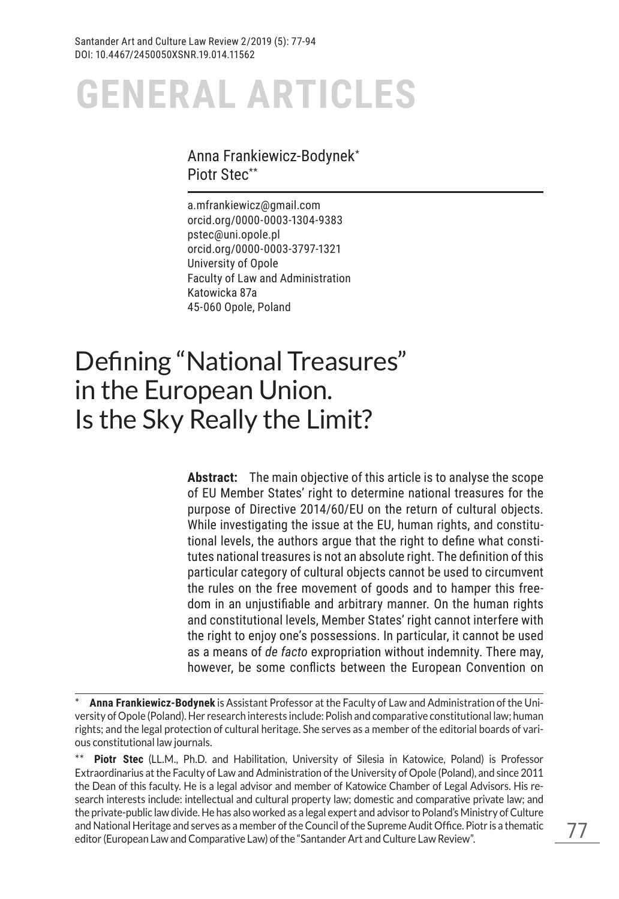#### Anna Frankiewicz-Bodynek\* Piotr Stec\*\*

a.mfrankiewicz@gmail.com orcid.org/0000-0003-1304-9383 pstec@uni.opole.pl orcid.org/0000-0003-3797-1321 University of Opole Faculty of Law and Administration Katowicka 87a 45-060 Opole, Poland

# Defining "National Treasures" in the European Union. Is the Sky Really the Limit?

**Abstract:** The main objective of this article is to analyse the scope of EU Member States' right to determine national treasures for the purpose of Directive 2014/60/EU on the return of cultural objects. While investigating the issue at the EU, human rights, and constitutional levels, the authors argue that the right to define what constitutes national treasures is not an absolute right. The definition of this particular category of cultural objects cannot be used to circumvent the rules on the free movement of goods and to hamper this freedom in an unjustifiable and arbitrary manner. On the human rights and constitutional levels, Member States' right cannot interfere with the right to enjoy one's possessions. In particular, it cannot be used as a means of *de facto* expropriation without indemnity. There may, however, be some conflicts between the European Convention on

**Piotr Stec** (LL.M., Ph.D. and Habilitation, University of Silesia in Katowice, Poland) is Professor Extraordinarius at the Faculty of Law and Administration of the University of Opole (Poland), and since 2011 the Dean of this faculty. He is a legal advisor and member of Katowice Chamber of Legal Advisors. His research interests include: intellectual and cultural property law; domestic and comparative private law; and the private-public law divide. He has also worked as a legal expert and advisor to Poland's Ministry of Culture and National Heritage and serves as a member of the Council of the Supreme Audit Office. Piotr is a thematic editor (European Law and Comparative Law) of the "Santander Art and Culture Law Review".

<sup>\*</sup> **Anna Frankiewicz-Bodynek** is Assistant Professor at the Faculty of Law and Administration of the University of Opole (Poland). Her research interests include: Polish and comparative constitutional law; human rights; and the legal protection of cultural heritage. She serves as a member of the editorial boards of various constitutional law journals.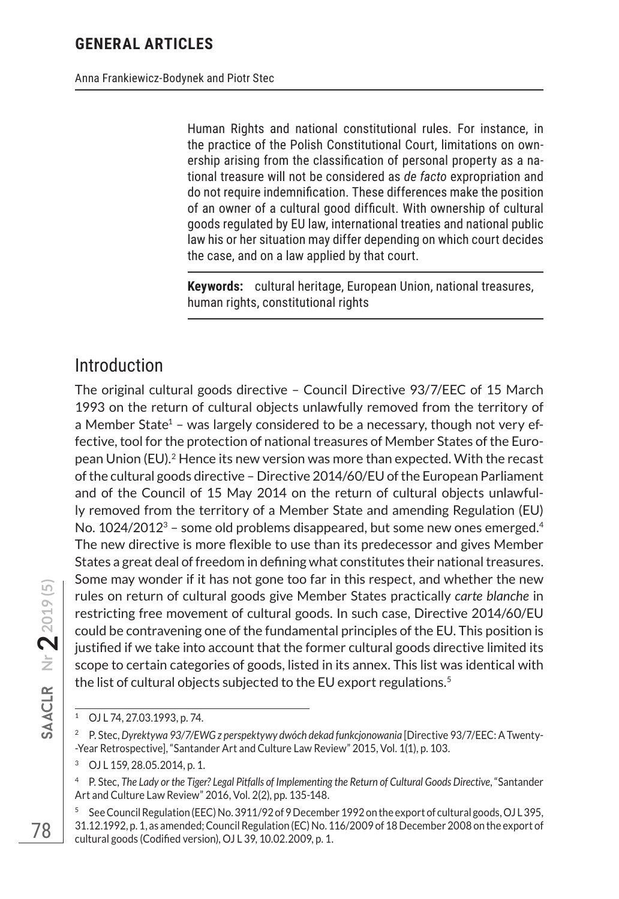Human Rights and national constitutional rules. For instance, in the practice of the Polish Constitutional Court, limitations on ownership arising from the classification of personal property as a national treasure will not be considered as *de facto* expropriation and do not require indemnification. These differences make the position of an owner of a cultural good difficult. With ownership of cultural goods regulated by EU law, international treaties and national public law his or her situation may differ depending on which court decides the case, and on a law applied by that court.

**Keywords:** cultural heritage, European Union, national treasures, human rights, constitutional rights

### Introduction

The original cultural goods directive – Council Directive 93/7/EEC of 15 March 1993 on the return of cultural objects unlawfully removed from the territory of a Member State<sup>1</sup> – was largely considered to be a necessary, though not very effective, tool for the protection of national treasures of Member States of the European Union (EU).2 Hence its new version was more than expected. With the recast of the cultural goods directive – Directive 2014/60/EU of the European Parliament and of the Council of 15 May 2014 on the return of cultural objects unlawfully removed from the territory of a Member State and amending Regulation (EU) No.  $1024/2012<sup>3</sup>$  – some old problems disappeared, but some new ones emerged.<sup>4</sup> The new directive is more flexible to use than its predecessor and gives Member States a great deal of freedom in defining what constitutes their national treasures. Some may wonder if it has not gone too far in this respect, and whether the new rules on return of cultural goods give Member States practically *carte blanche* in restricting free movement of cultural goods. In such case, Directive 2014/60/EU could be contravening one of the fundamental principles of the EU. This position is justified if we take into account that the former cultural goods directive limited its scope to certain categories of goods, listed in its annex. This list was identical with the list of cultural objects subjected to the EU export regulations.<sup>5</sup>

<sup>1</sup> OJ L 74, 27.03.1993, p. 74.

<sup>2</sup> P. Stec, *Dyrektywa 93/7/EWG z perspektywy dwóch dekad funkcjonowania* [Directive 93/7/EEC: A Twenty- -Year Retrospective], "Santander Art and Culture Law Review" 2015, Vol. 1(1), p. 103.

OJ L 159, 28.05.2014, p. 1.

<sup>4</sup> P. Stec, *The Lady or the Tiger? Legal Pitfalls of Implementing the Return of Cultural Goods Directive*, "Santander Art and Culture Law Review" 2016, Vol. 2(2), pp. 135-148.

<sup>5</sup> See Council Regulation (EEC) No. 3911/92 of 9 December 1992 on the export of cultural goods, OJ L 395, 31.12.1992, p. 1, as amended; Council Regulation (EC) No. 116/2009 of 18 December 2008 on the export of cultural goods (Codified version), OJ L 39, 10.02.2009, p. 1.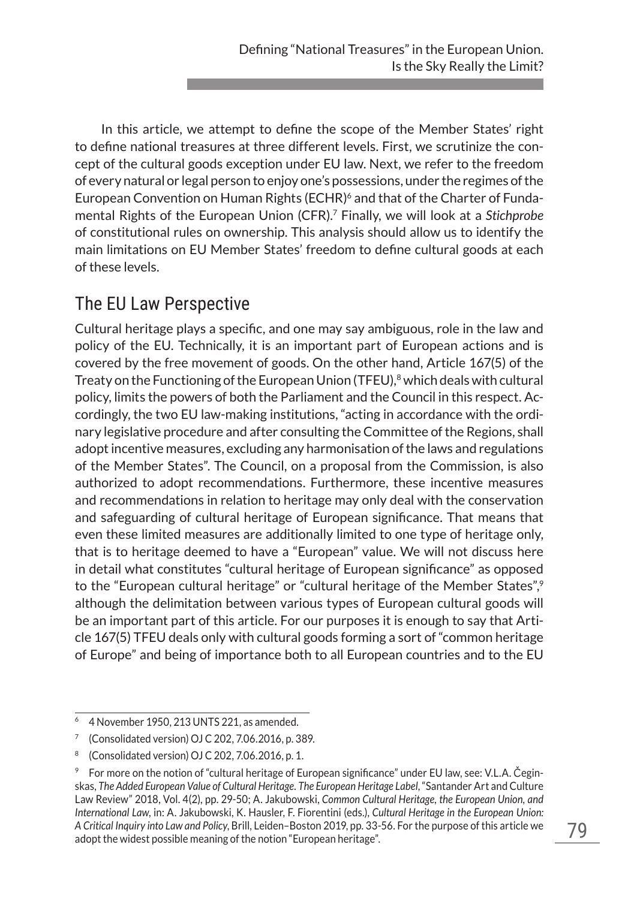In this article, we attempt to define the scope of the Member States' right to define national treasures at three different levels. First, we scrutinize the concept of the cultural goods exception under EU law. Next, we refer to the freedom of every natural or legal person to enjoy one's possessions, under the regimes of the European Convention on Human Rights (ECHR)<sup>6</sup> and that of the Charter of Fundamental Rights of the European Union (CFR).7 Finally, we will look at a *Stichprobe* of constitutional rules on ownership. This analysis should allow us to identify the main limitations on EU Member States' freedom to define cultural goods at each of these levels.

# The EU Law Perspective

Cultural heritage plays a specific, and one may say ambiguous, role in the law and policy of the EU. Technically, it is an important part of European actions and is covered by the free movement of goods. On the other hand, Article 167(5) of the Treaty on the Functioning of the European Union (TFEU), $8$  which deals with cultural policy, limits the powers of both the Parliament and the Council in this respect. Accordingly, the two EU law-making institutions, "acting in accordance with the ordinary legislative procedure and after consulting the Committee of the Regions, shall adopt incentive measures, excluding any harmonisation of the laws and regulations of the Member States". The Council, on a proposal from the Commission, is also authorized to adopt recommendations. Furthermore, these incentive measures and recommendations in relation to heritage may only deal with the conservation and safeguarding of cultural heritage of European significance. That means that even these limited measures are additionally limited to one type of heritage only, that is to heritage deemed to have a "European" value. We will not discuss here in detail what constitutes "cultural heritage of European significance" as opposed to the "European cultural heritage" or "cultural heritage of the Member States",<sup>9</sup> although the delimitation between various types of European cultural goods will be an important part of this article. For our purposes it is enough to say that Article 167(5) TFEU deals only with cultural goods forming a sort of "common heritage of Europe" and being of importance both to all European countries and to the EU

<sup>6</sup> 4 November 1950, 213 UNTS 221, as amended.

<sup>7</sup> (Consolidated version) OJ C 202, 7.06.2016, p. 389.

<sup>8</sup> (Consolidated version) OJ C 202, 7.06.2016, p. 1.

<sup>9</sup> For more on the notion of "cultural heritage of European significance" under EU law, see: V.L.A. Čeginskas, *The Added European Value of Cultural Heritage. The European Heritage Label*, "Santander Art and Culture Law Review" 2018, Vol. 4(2), pp. 29-50; A. Jakubowski, *Common Cultural Heritage, the European Union, and International Law*, in: A. Jakubowski, K. Hausler, F. Fiorentini (eds.), *Cultural Heritage in the European Union: A Critical Inquiry into Law and Policy*, Brill, Leiden–Boston 2019, pp. 33-56. For the purpose of this article we adopt the widest possible meaning of the notion "European heritage".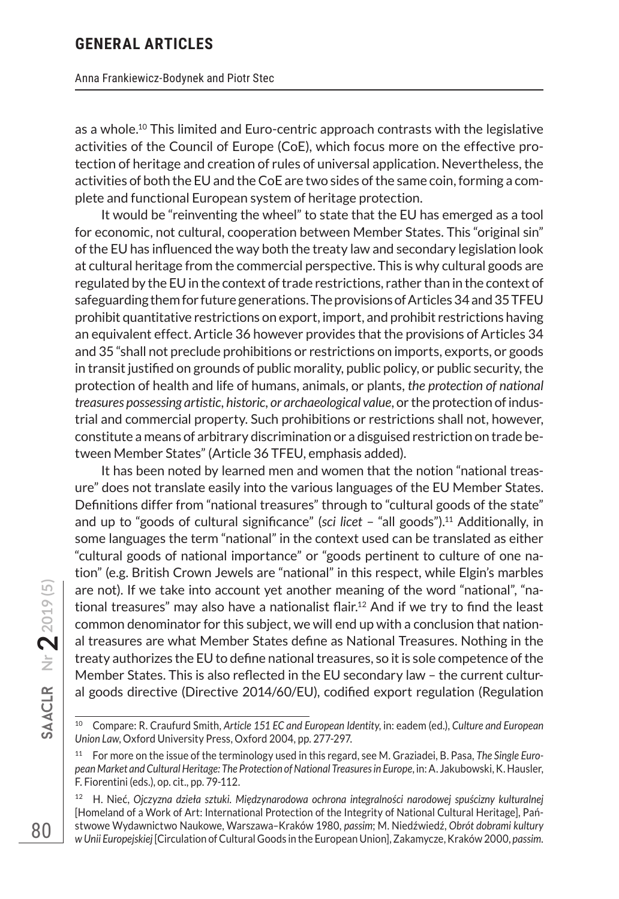as a whole.10 This limited and Euro-centric approach contrasts with the legislative activities of the Council of Europe (CoE), which focus more on the effective protection of heritage and creation of rules of universal application. Nevertheless, the activities of both the EU and the CoE are two sides of the same coin, forming a complete and functional European system of heritage protection.

It would be "reinventing the wheel" to state that the EU has emerged as a tool for economic, not cultural, cooperation between Member States. This "original sin" of the EU has influenced the way both the treaty law and secondary legislation look at cultural heritage from the commercial perspective. This is why cultural goods are regulated by the EU in the context of trade restrictions, rather than in the context of safeguarding them for future generations. The provisions of Articles 34 and 35 TFEU prohibit quantitative restrictions on export, import, and prohibit restrictions having an equivalent effect. Article 36 however provides that the provisions of Articles 34 and 35 "shall not preclude prohibitions or restrictions on imports, exports, or goods in transit justified on grounds of public morality, public policy, or public security, the protection of health and life of humans, animals, or plants, *the protection of national treasures possessing artistic, historic, or archaeological value*, or the protection of industrial and commercial property. Such prohibitions or restrictions shall not, however, constitute a means of arbitrary discrimination or a disguised restriction on trade between Member States" (Article 36 TFEU, emphasis added).

It has been noted by learned men and women that the notion "national treasure" does not translate easily into the various languages of the EU Member States. Definitions differ from "national treasures" through to "cultural goods of the state" and up to "goods of cultural significance" (*sci licet* – "all goods").11 Additionally, in some languages the term "national" in the context used can be translated as either "cultural goods of national importance" or "goods pertinent to culture of one nation" (e.g. British Crown Jewels are "national" in this respect, while Elgin's marbles are not). If we take into account yet another meaning of the word "national", "national treasures" may also have a nationalist flair.<sup>12</sup> And if we try to find the least common denominator for this subject, we will end up with a conclusion that national treasures are what Member States define as National Treasures. Nothing in the treaty authorizes the EU to define national treasures, so it is sole competence of the Member States. This is also reflected in the EU secondary law – the current cultural goods directive (Directive 2014/60/EU), codified export regulation (Regulation

<sup>10</sup> Compare: R. Craufurd Smith, *Article 151 EC and European Identity*, in: eadem (ed.), *Culture and European Union Law*, Oxford University Press, Oxford 2004, pp. 277-297.

<sup>11</sup> For more on the issue of the terminology used in this regard, see M. Graziadei, B. Pasa, *The Single European Market and Cultural Heritage: The Protection of National Treasures in Europe*, in: A. Jakubowski, K. Hausler, F. Fiorentini (eds.), op. cit., pp. 79-112.

<sup>12</sup> H. Nieć, *Ojczyzna dzieła sztuki. Międzynarodowa ochrona integralności narodowej spuścizny kulturalnej*  [Homeland of a Work of Art: International Protection of the Integrity of National Cultural Heritage], Państwowe Wydawnictwo Naukowe, Warszawa–Kraków 1980, *passim*; M. Niedźwiedź, *Obrót dobrami kultury w Unii Europejskiej* [Circulation of Cultural Goods in the European Union], Zakamycze, Kraków 2000, *passim.*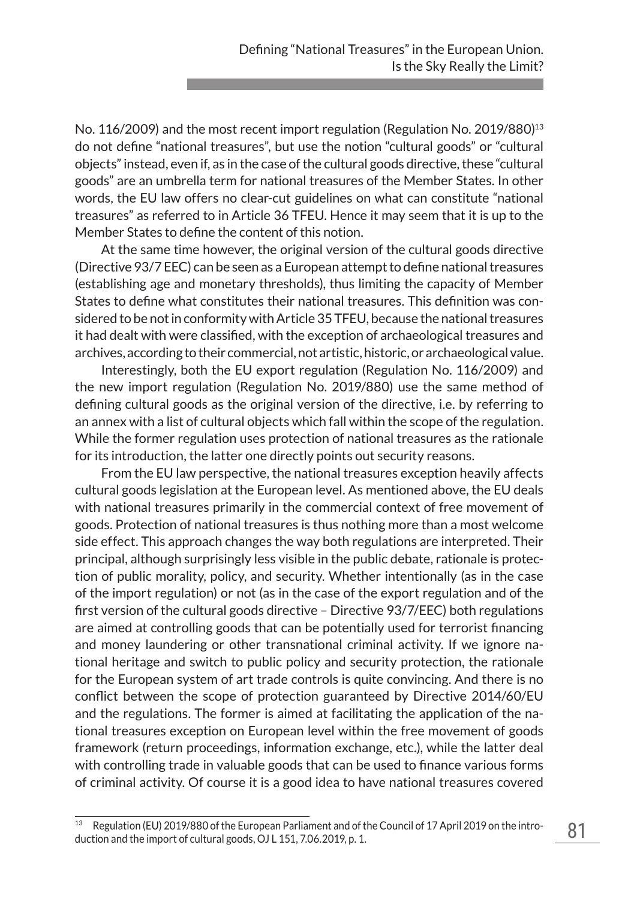No. 116/2009) and the most recent import regulation (Regulation No. 2019/880)<sup>13</sup> do not define "national treasures", but use the notion "cultural goods" or "cultural objects" instead, even if, as in the case of the cultural goods directive, these "cultural goods" are an umbrella term for national treasures of the Member States. In other words, the EU law offers no clear-cut guidelines on what can constitute "national treasures" as referred to in Article 36 TFEU. Hence it may seem that it is up to the Member States to define the content of this notion.

At the same time however, the original version of the cultural goods directive (Directive 93/7 EEC) can be seen as a European attempt to define national treasures (establishing age and monetary thresholds), thus limiting the capacity of Member States to define what constitutes their national treasures. This definition was considered to be not in conformity with Article 35 TFEU, because the national treasures it had dealt with were classified, with the exception of archaeological treasures and archives, according to their commercial, not artistic, historic, or archaeological value.

Interestingly, both the EU export regulation (Regulation No. 116/2009) and the new import regulation (Regulation No. 2019/880) use the same method of defining cultural goods as the original version of the directive, i.e. by referring to an annex with a list of cultural objects which fall within the scope of the regulation. While the former regulation uses protection of national treasures as the rationale for its introduction, the latter one directly points out security reasons.

From the EU law perspective, the national treasures exception heavily affects cultural goods legislation at the European level. As mentioned above, the EU deals with national treasures primarily in the commercial context of free movement of goods. Protection of national treasures is thus nothing more than a most welcome side effect. This approach changes the way both regulations are interpreted. Their principal, although surprisingly less visible in the public debate, rationale is protection of public morality, policy, and security. Whether intentionally (as in the case of the import regulation) or not (as in the case of the export regulation and of the first version of the cultural goods directive – Directive 93/7/EEC) both regulations are aimed at controlling goods that can be potentially used for terrorist financing and money laundering or other transnational criminal activity. If we ignore national heritage and switch to public policy and security protection, the rationale for the European system of art trade controls is quite convincing. And there is no conflict between the scope of protection guaranteed by Directive 2014/60/EU and the regulations. The former is aimed at facilitating the application of the national treasures exception on European level within the free movement of goods framework (return proceedings, information exchange, etc.), while the latter deal with controlling trade in valuable goods that can be used to finance various forms of criminal activity. Of course it is a good idea to have national treasures covered

Regulation (EU) 2019/880 of the European Parliament and of the Council of 17 April 2019 on the introduction and the import of cultural goods, OJ L 151, 7.06.2019, p. 1.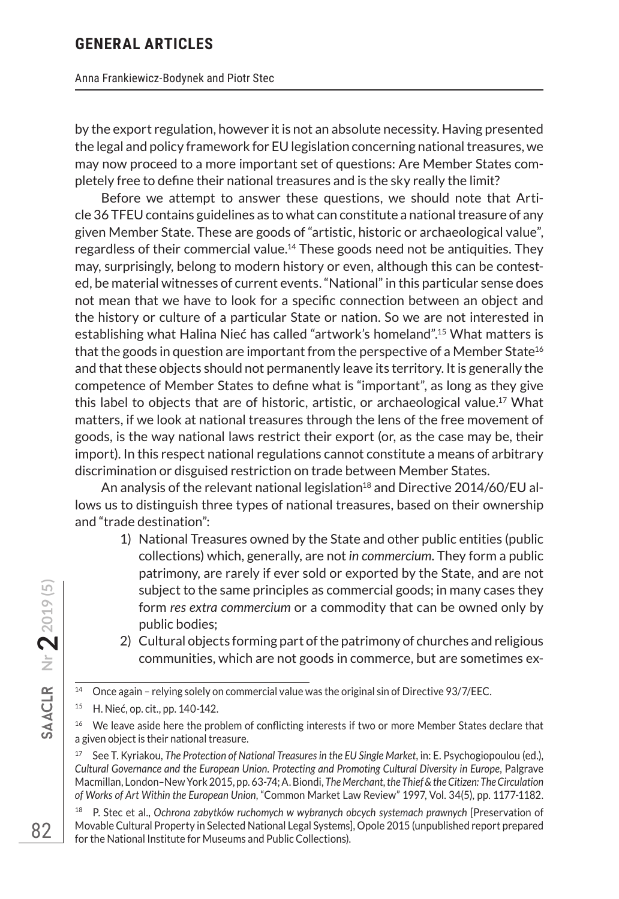by the export regulation, however it is not an absolute necessity. Having presented the legal and policy framework for EU legislation concerning national treasures, we may now proceed to a more important set of questions: Are Member States completely free to define their national treasures and is the sky really the limit?

Before we attempt to answer these questions, we should note that Article 36 TFEU contains guidelines as to what can constitute a national treasure of any given Member State. These are goods of "artistic, historic or archaeological value", regardless of their commercial value.14 These goods need not be antiquities. They may, surprisingly, belong to modern history or even, although this can be contested, be material witnesses of current events. "National" in this particular sense does not mean that we have to look for a specific connection between an object and the history or culture of a particular State or nation. So we are not interested in establishing what Halina Nieć has called "artwork's homeland".15 What matters is that the goods in question are important from the perspective of a Member State<sup>16</sup> and that these objects should not permanently leave its territory. It is generally the competence of Member States to define what is "important", as long as they give this label to objects that are of historic, artistic, or archaeological value.17 What matters, if we look at national treasures through the lens of the free movement of goods, is the way national laws restrict their export (or, as the case may be, their import). In this respect national regulations cannot constitute a means of arbitrary discrimination or disguised restriction on trade between Member States.

An analysis of the relevant national legislation<sup>18</sup> and Directive 2014/60/EU allows us to distinguish three types of national treasures, based on their ownership and "trade destination":

- 1) National Treasures owned by the State and other public entities (public collections) which, generally, are not *in commercium*. They form a public patrimony, are rarely if ever sold or exported by the State, and are not subject to the same principles as commercial goods; in many cases they form *res extra commercium* or a commodity that can be owned only by public bodies;
- 2) Cultural objects forming part of the patrimony of churches and religious communities, which are not goods in commerce, but are sometimes ex-

**Nr 22019 (5)**

<sup>&</sup>lt;sup>14</sup> Once again - relying solely on commercial value was the original sin of Directive 93/7/EEC.

<sup>15</sup> H. Nieć, op. cit., pp. 140-142.

We leave aside here the problem of conflicting interests if two or more Member States declare that a given object is their national treasure.

<sup>17</sup> See T. Kyriakou, *The Protection of National Treasures in the EU Single Market*, in: E. Psychogiopoulou (ed.), *Cultural Governance and the European Union. Protecting and Promoting Cultural Diversity in Europe*, Palgrave Macmillan, London–New York 2015, pp. 63-74; A. Biondi, *The Merchant, the Thief & the Citizen: The Circulation of Works of Art Within the European Union*, "Common Market Law Review" 1997, Vol. 34(5), pp. 1177-1182.

<sup>&</sup>lt;sup>18</sup> P. Stec et al., Ochrona zabytków ruchomych w wybranych obcych systemach prawnych [Preservation of Movable Cultural Property in Selected National Legal Systems], Opole 2015 (unpublished report prepared for the National Institute for Museums and Public Collections).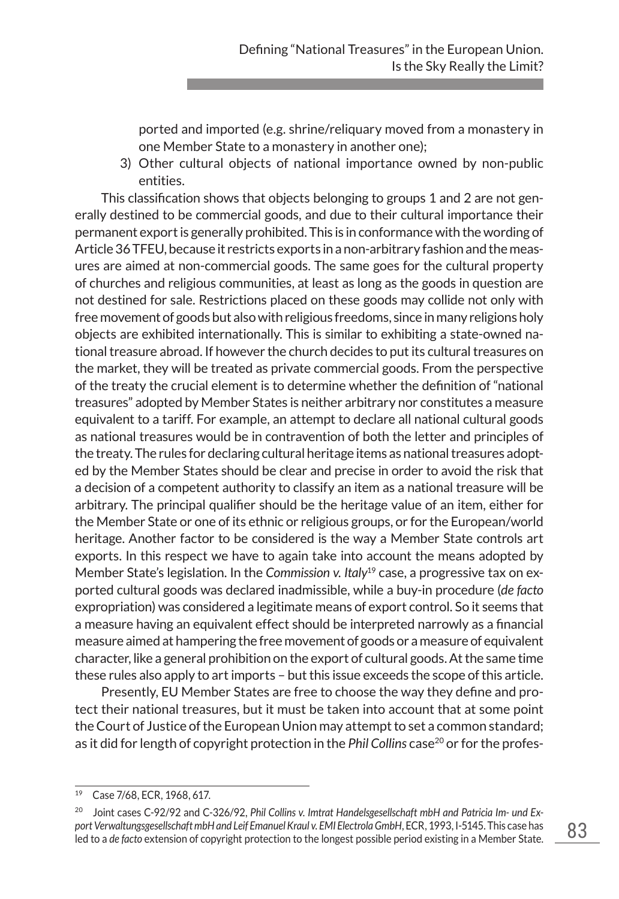ported and imported (e.g. shrine/reliquary moved from a monastery in one Member State to a monastery in another one);

3) Other cultural objects of national importance owned by non-public entities.

This classification shows that objects belonging to groups 1 and 2 are not generally destined to be commercial goods, and due to their cultural importance their permanent export is generally prohibited. This is in conformance with the wording of Article 36 TFEU, because it restricts exports in a non-arbitrary fashion and the measures are aimed at non-commercial goods. The same goes for the cultural property of churches and religious communities, at least as long as the goods in question are not destined for sale. Restrictions placed on these goods may collide not only with free movement of goods but also with religious freedoms, since in many religions holy objects are exhibited internationally. This is similar to exhibiting a state-owned national treasure abroad. If however the church decides to put its cultural treasures on the market, they will be treated as private commercial goods. From the perspective of the treaty the crucial element is to determine whether the definition of "national treasures" adopted by Member States is neither arbitrary nor constitutes a measure equivalent to a tariff. For example, an attempt to declare all national cultural goods as national treasures would be in contravention of both the letter and principles of the treaty. The rules for declaring cultural heritage items as national treasures adopted by the Member States should be clear and precise in order to avoid the risk that a decision of a competent authority to classify an item as a national treasure will be arbitrary. The principal qualifier should be the heritage value of an item, either for the Member State or one of its ethnic or religious groups, or for the European/world heritage. Another factor to be considered is the way a Member State controls art exports. In this respect we have to again take into account the means adopted by Member State's legislation. In the *Commission v. Italy*19 case, a progressive tax on exported cultural goods was declared inadmissible, while a buy-in procedure (*de facto* expropriation) was considered a legitimate means of export control. So it seems that a measure having an equivalent effect should be interpreted narrowly as a financial measure aimed at hampering the free movement of goods or a measure of equivalent character, like a general prohibition on the export of cultural goods. At the same time these rules also apply to art imports – but this issue exceeds the scope of this article.

Presently, EU Member States are free to choose the way they define and protect their national treasures, but it must be taken into account that at some point the Court of Justice of the European Union may attempt to set a common standard; as it did for length of copyright protection in the *Phil Collins* case<sup>20</sup> or for the profes-

<sup>19</sup> Case 7/68, ECR, 1968, 617.

<sup>20</sup> Joint cases C-92/92 and C-326/92, *Phil Collins v. Imtrat Handelsgesellschaft mbH and Patricia Im- und Export Verwaltungsgesellschaft mbH and Leif Emanuel Kraul v. EMI Electrola GmbH*, ECR, 1993, I-5145. This case has led to a *de facto* extension of copyright protection to the longest possible period existing in a Member State.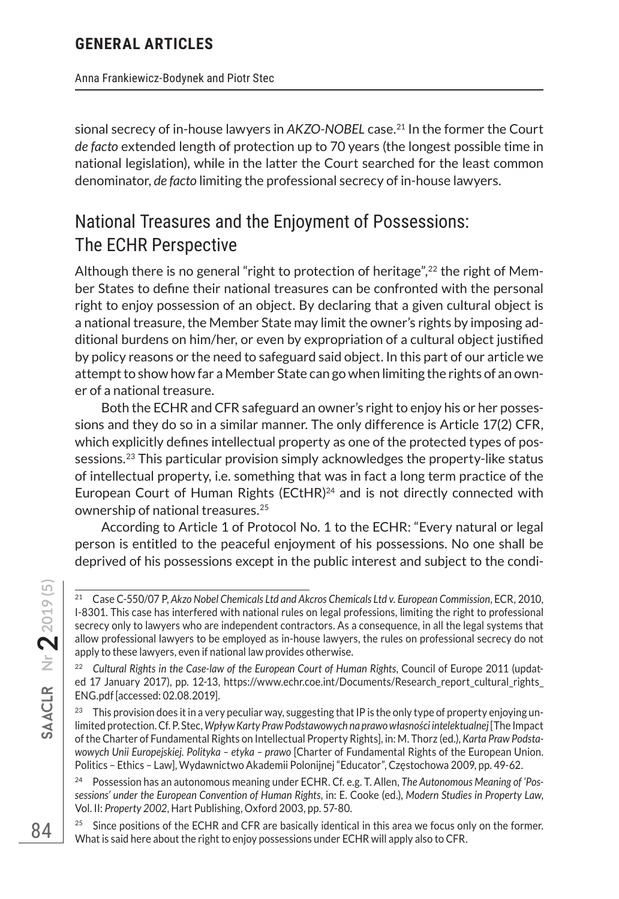Anna Frankiewicz-Bodynek and Piotr Stec

sional secrecy of in-house lawyers in *AKZO-NOBEL* case.21 In the former the Court *de facto* extended length of protection up to 70 years (the longest possible time in national legislation), while in the latter the Court searched for the least common denominator, *de facto* limiting the professional secrecy of in-house lawyers.

# National Treasures and the Enjoyment of Possessions: The ECHR Perspective

Although there is no general "right to protection of heritage",<sup>22</sup> the right of Member States to define their national treasures can be confronted with the personal right to enjoy possession of an object. By declaring that a given cultural object is a national treasure, the Member State may limit the owner's rights by imposing additional burdens on him/her, or even by expropriation of a cultural object justified by policy reasons or the need to safeguard said object. In this part of our article we attempt to show how far a Member State can go when limiting the rights of an owner of a national treasure.

Both the ECHR and CFR safeguard an owner's right to enjoy his or her possessions and they do so in a similar manner. The only difference is Article 17(2) CFR, which explicitly defines intellectual property as one of the protected types of possessions.23 This particular provision simply acknowledges the property-like status of intellectual property, i.e. something that was in fact a long term practice of the European Court of Human Rights (ECtHR)<sup>24</sup> and is not directly connected with ownership of national treasures.25

According to Article 1 of Protocol No. 1 to the ECHR: "Every natural or legal person is entitled to the peaceful enjoyment of his possessions. No one shall be deprived of his possessions except in the public interest and subject to the condi-

 $25$  Since positions of the ECHR and CFR are basically identical in this area we focus only on the former. What is said here about the right to enjoy possessions under ECHR will apply also to CFR.

<sup>21</sup> Case C-550/07 P, *Akzo Nobel Chemicals Ltd and Akcros Chemicals Ltd v. European Commission*, ECR, 2010, I-8301. This case has interfered with national rules on legal professions, limiting the right to professional secrecy only to lawyers who are independent contractors. As a consequence, in all the legal systems that allow professional lawyers to be employed as in-house lawyers, the rules on professional secrecy do not apply to these lawyers, even if national law provides otherwise.

<sup>&</sup>lt;sup>22</sup> Cultural Rights in the Case-law of the European Court of Human Rights, Council of Europe 2011 (updated 17 January 2017), pp. 12-13, https://www.echr.coe.int/Documents/Research\_report\_cultural\_rights\_ ENG.pdf [accessed: 02.08.2019].

This provision does it in a very peculiar way, suggesting that IP is the only type of property enjoying unlimited protection. Cf. P. Stec, *Wpływ Karty Praw Podstawowych na prawo własności intelektualnej* [The Impact of the Charter of Fundamental Rights on Intellectual Property Rights], in: M. Thorz (ed.), *Karta Praw Podsta*wowych Unii Europejskiej. Polityka - etyka - prawo [Charter of Fundamental Rights of the European Union. Politics – Ethics – Law], Wydawnictwo Akademii Polonijnej "Educator", Częstochowa 2009, pp. 49-62.

<sup>24</sup> Possession has an autonomous meaning under ECHR. Cf. e.g. T. Allen, *The Autonomous Meaning of 'Possessions' under the European Convention of Human Rights*, in: E. Cooke (ed.), *Modern Studies in Property Law*, Vol. II: *Property 2002*, Hart Publishing, Oxford 2003, pp. 57-80.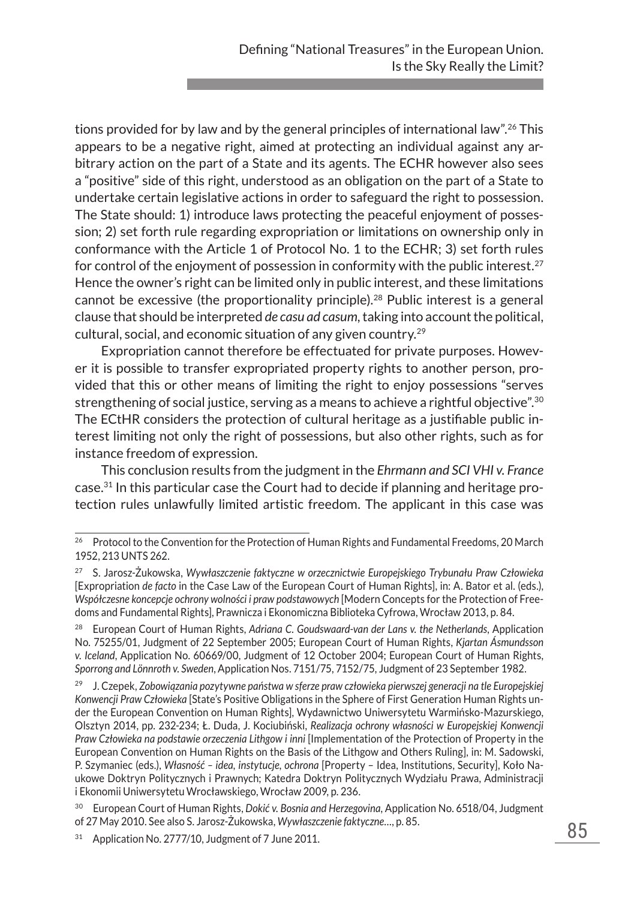tions provided for by law and by the general principles of international law".<sup>26</sup> This appears to be a negative right, aimed at protecting an individual against any arbitrary action on the part of a State and its agents. The ECHR however also sees a "positive" side of this right, understood as an obligation on the part of a State to undertake certain legislative actions in order to safeguard the right to possession. The State should: 1) introduce laws protecting the peaceful enjoyment of possession; 2) set forth rule regarding expropriation or limitations on ownership only in conformance with the Article 1 of Protocol No. 1 to the ECHR; 3) set forth rules for control of the enjoyment of possession in conformity with the public interest.<sup>27</sup> Hence the owner's right can be limited only in public interest, and these limitations cannot be excessive (the proportionality principle).<sup>28</sup> Public interest is a general clause that should be interpreted *de casu ad casum*, taking into account the political, cultural, social, and economic situation of any given country.29

Expropriation cannot therefore be effectuated for private purposes. However it is possible to transfer expropriated property rights to another person, provided that this or other means of limiting the right to enjoy possessions "serves strengthening of social justice, serving as a means to achieve a rightful objective".<sup>30</sup> The ECtHR considers the protection of cultural heritage as a justifiable public interest limiting not only the right of possessions, but also other rights, such as for instance freedom of expression.

This conclusion results from the judgment in the *Ehrmann and SCI VHI v. France* case.31 In this particular case the Court had to decide if planning and heritage protection rules unlawfully limited artistic freedom. The applicant in this case was

<sup>&</sup>lt;sup>26</sup> Protocol to the Convention for the Protection of Human Rights and Fundamental Freedoms, 20 March 1952, 213 UNTS 262.

<sup>27</sup> S. Jarosz-Żukowska, *Wywłaszczenie faktyczne w orzecznictwie Europejskiego Trybunału Praw Człowieka*  [Expropriation *de facto* in the Case Law of the European Court of Human Rights], in: A. Bator et al. (eds.), *Współczesne koncepcje ochrony wolności i praw podstawowych* [Modern Concepts for the Protection of Freedoms and Fundamental Rights], Prawnicza i Ekonomiczna Biblioteka Cyfrowa, Wrocław 2013, p. 84.

<sup>28</sup> European Court of Human Rights, *Adriana C. Goudswaard-van der Lans v. the Netherlands*, Application No. 75255/01, Judgment of 22 September 2005; European Court of Human Rights, *Kjartan Ásmundsson v. Iceland*, Application No. 60669/00, Judgment of 12 October 2004; European Court of Human Rights, *Sporrong and Lönnroth v. Sweden*, Application Nos. 7151/75, 7152/75, Judgment of 23 September 1982.

<sup>&</sup>lt;sup>29</sup> J. Czepek, Zobowiązania pozytywne państwa w sferze praw człowieka pierwszej generacji na tle Europejskiej *Konwencji Praw Człowieka* [State's Positive Obligations in the Sphere of First Generation Human Rights under the European Convention on Human Rights], Wydawnictwo Uniwersytetu Warmińsko-Mazurskiego, Olsztyn 2014, pp. 232-234; Ł. Duda, J. Kociubiński, *Realizacja ochrony własności w Europejskiej Konwencji Praw Człowieka na podstawie orzeczenia Lithgow i inni* [Implementation of the Protection of Property in the European Convention on Human Rights on the Basis of the Lithgow and Others Ruling], in: M. Sadowski, P. Szymaniec (eds.), *Własność – idea, instytucje, ochrona* [Property – Idea, Institutions, Security], Koło Naukowe Doktryn Politycznych i Prawnych; Katedra Doktryn Politycznych Wydziału Prawa, Administracji i Ekonomii Uniwersytetu Wrocławskiego, Wrocław 2009, p. 236.

<sup>30</sup> European Court of Human Rights, *Dokić v. Bosnia and Herzegovina*, Application No. 6518/04, Judgment of 27 May 2010. See also S. Jarosz-Żukowska, *Wywłaszczenie faktyczne…*, p. 85.

<sup>&</sup>lt;sup>31</sup> Application No. 2777/10, Judgment of 7 June 2011.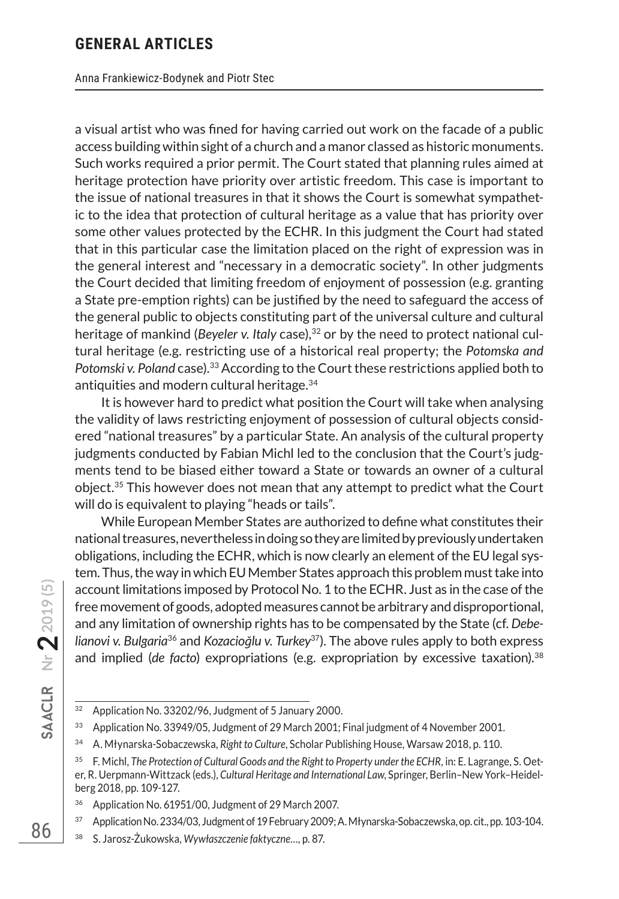Anna Frankiewicz-Bodynek and Piotr Stec

a visual artist who was fined for having carried out work on the facade of a public access building within sight of a church and a manor classed as historic monuments. Such works required a prior permit. The Court stated that planning rules aimed at heritage protection have priority over artistic freedom. This case is important to the issue of national treasures in that it shows the Court is somewhat sympathetic to the idea that protection of cultural heritage as a value that has priority over some other values protected by the ECHR. In this judgment the Court had stated that in this particular case the limitation placed on the right of expression was in the general interest and "necessary in a democratic society". In other judgments the Court decided that limiting freedom of enjoyment of possession (e.g. granting a State pre-emption rights) can be justified by the need to safeguard the access of the general public to objects constituting part of the universal culture and cultural heritage of mankind (*Beyeler v. Italy* case),<sup>32</sup> or by the need to protect national cultural heritage (e.g. restricting use of a historical real property; the *Potomska and Potomski v. Poland* case).33 According to the Court these restrictions applied both to antiquities and modern cultural heritage.34

It is however hard to predict what position the Court will take when analysing the validity of laws restricting enjoyment of possession of cultural objects considered "national treasures" by a particular State. An analysis of the cultural property judgments conducted by Fabian Michl led to the conclusion that the Court's judgments tend to be biased either toward a State or towards an owner of a cultural object.35 This however does not mean that any attempt to predict what the Court will do is equivalent to playing "heads or tails".

While European Member States are authorized to define what constitutes their national treasures, nevertheless in doing so they are limited by previously undertaken obligations, including the ECHR, which is now clearly an element of the EU legal system. Thus, the way in which EU Member States approach this problem must take into account limitations imposed by Protocol No. 1 to the ECHR. Just as in the case of the free movement of goods, adopted measures cannot be arbitrary and disproportional, and any limitation of ownership rights has to be compensated by the State (cf. *Debelianovi v. Bulgaria*36 and *Kozacioğlu v. Turkey*37). The above rules apply to both express and implied (*de facto*) expropriations (e.g. expropriation by excessive taxation).38

<sup>38</sup> S. Jarosz-Żukowska, *Wywłaszczenie faktyczne…*, p. 87.

<sup>32</sup> Application No. 33202/96, Judgment of 5 January 2000.

<sup>&</sup>lt;sup>33</sup> Application No. 33949/05, Judgment of 29 March 2001; Final judgment of 4 November 2001.

<sup>34</sup> A. Młynarska-Sobaczewska, *Right to Culture*, Scholar Publishing House, Warsaw 2018, p. 110.

<sup>35</sup> F. Michl, *The Protection of Cultural Goods and the Right to Property under the ECHR*, in: E. Lagrange, S. Oeter, R. Uerpmann-Wittzack (eds.), *Cultural Heritage and International Law*, Springer, Berlin–New York–Heidelberg 2018, pp. 109-127.

<sup>36</sup> Application No. 61951/00, Judgment of 29 March 2007.

<sup>37</sup> Application No. 2334/03, Judgment of 19 February 2009; A. Młynarska-Sobaczewska, op. cit., pp. 103-104.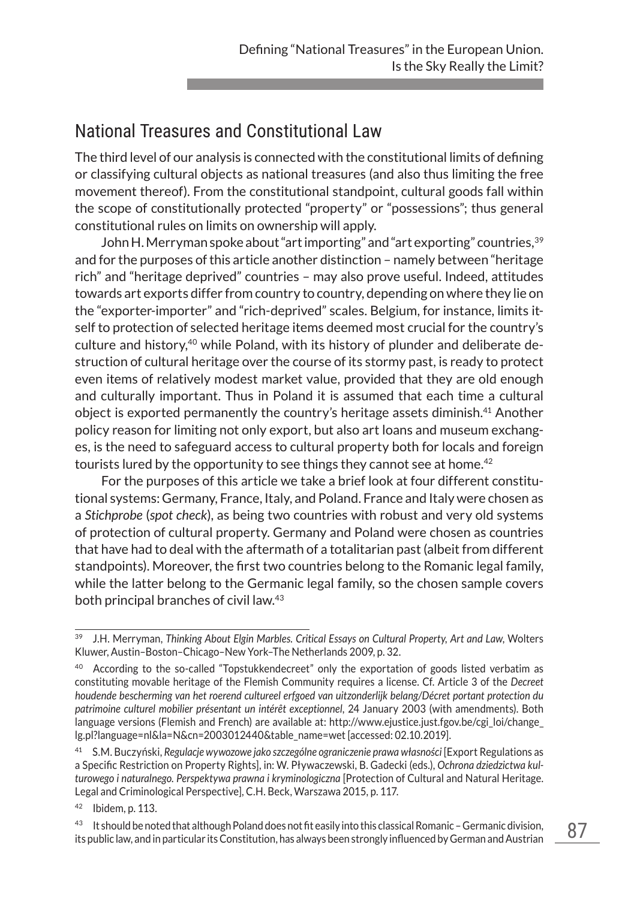# National Treasures and Constitutional Law

The third level of our analysis is connected with the constitutional limits of defining or classifying cultural objects as national treasures (and also thus limiting the free movement thereof). From the constitutional standpoint, cultural goods fall within the scope of constitutionally protected "property" or "possessions"; thus general constitutional rules on limits on ownership will apply.

John H. Merryman spoke about "art importing" and "art exporting" countries,  $39$ and for the purposes of this article another distinction – namely between "heritage rich" and "heritage deprived" countries – may also prove useful. Indeed, attitudes towards art exports differ from country to country, depending on where they lie on the "exporter-importer" and "rich-deprived" scales. Belgium, for instance, limits itself to protection of selected heritage items deemed most crucial for the country's culture and history,40 while Poland, with its history of plunder and deliberate destruction of cultural heritage over the course of its stormy past, is ready to protect even items of relatively modest market value, provided that they are old enough and culturally important. Thus in Poland it is assumed that each time a cultural object is exported permanently the country's heritage assets diminish.41 Another policy reason for limiting not only export, but also art loans and museum exchanges, is the need to safeguard access to cultural property both for locals and foreign tourists lured by the opportunity to see things they cannot see at home.<sup>42</sup>

For the purposes of this article we take a brief look at four different constitutional systems: Germany, France, Italy, and Poland. France and Italy were chosen as a *Stichprobe* (*spot check*), as being two countries with robust and very old systems of protection of cultural property. Germany and Poland were chosen as countries that have had to deal with the aftermath of a totalitarian past (albeit from different standpoints). Moreover, the first two countries belong to the Romanic legal family, while the latter belong to the Germanic legal family, so the chosen sample covers both principal branches of civil law.43

<sup>39</sup> J.H. Merryman, *Thinking About Elgin Marbles. Critical Essays on Cultural Property, Art and Law*, Wolters Kluwer, Austin–Boston–Chicago–New York–The Netherlands 2009, p. 32.

<sup>&</sup>lt;sup>40</sup> According to the so-called "Topstukkendecreet" only the exportation of goods listed verbatim as constituting movable heritage of the Flemish Community requires a license. Cf. Article 3 of the *Decreet houdende bescherming van het roerend cultureel erfgoed van uitzonderlijk belang/Décret portant protection du patrimoine culturel mobilier présentant un intérêt exceptionnel*, 24 January 2003 (with amendments). Both language versions (Flemish and French) are available at: http://www.ejustice.just.fgov.be/cgi\_loi/change\_ lg.pl?language=nl&la=N&cn=2003012440&table\_name=wet [accessed: 02.10.2019].

<sup>41</sup> S.M. Buczyński, *Regulacje wywozowe jako szczególne ograniczenie prawa własności* [Export Regulations as a Specific Restriction on Property Rights], in: W. Pływaczewski, B. Gadecki (eds.), *Ochrona dziedzictwa kulturowego i naturalnego. Perspektywa prawna i kryminologiczna* [Protection of Cultural and Natural Heritage. Legal and Criminological Perspective], C.H. Beck, Warszawa 2015, p. 117.

 $42$  Ibidem, p. 113.

<sup>&</sup>lt;sup>43</sup> It should be noted that although Poland does not fit easily into this classical Romanic - Germanic division, its public law, and in particular its Constitution, has always been strongly influenced by German and Austrian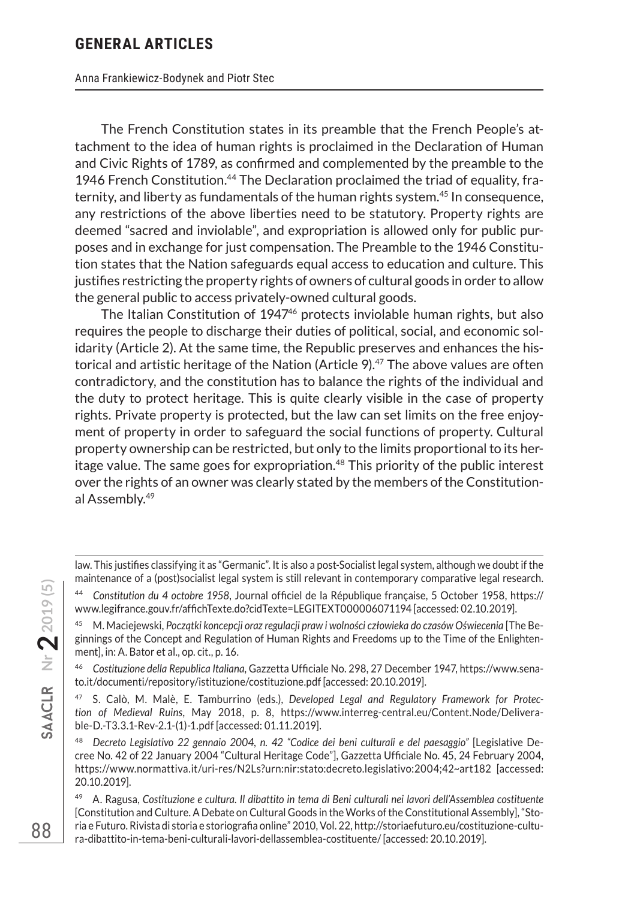Anna Frankiewicz-Bodynek and Piotr Stec

The French Constitution states in its preamble that the French People's attachment to the idea of human rights is proclaimed in the Declaration of Human and Civic Rights of 1789, as confirmed and complemented by the preamble to the 1946 French Constitution.<sup>44</sup> The Declaration proclaimed the triad of equality, fraternity, and liberty as fundamentals of the human rights system.45 In consequence, any restrictions of the above liberties need to be statutory. Property rights are deemed "sacred and inviolable", and expropriation is allowed only for public purposes and in exchange for just compensation. The Preamble to the 1946 Constitution states that the Nation safeguards equal access to education and culture. This justifies restricting the property rights of owners of cultural goods in order to allow the general public to access privately-owned cultural goods.

The Italian Constitution of 1947<sup>46</sup> protects inviolable human rights, but also requires the people to discharge their duties of political, social, and economic solidarity (Article 2). At the same time, the Republic preserves and enhances the historical and artistic heritage of the Nation (Article  $9$ ).<sup>47</sup> The above values are often contradictory, and the constitution has to balance the rights of the individual and the duty to protect heritage. This is quite clearly visible in the case of property rights. Private property is protected, but the law can set limits on the free enjoyment of property in order to safeguard the social functions of property. Cultural property ownership can be restricted, but only to the limits proportional to its heritage value. The same goes for expropriation.<sup>48</sup> This priority of the public interest over the rights of an owner was clearly stated by the members of the Constitutional Assembly.49

law. This justifies classifying it as "Germanic". It is also a post-Socialist legal system, although we doubt if the maintenance of a (post)socialist legal system is still relevant in contemporary comparative legal research.

<sup>44</sup> *Constitution du 4 octobre 1958*, Journal officiel de la République française, 5 October 1958, https:// www.legifrance.gouv.fr/affichTexte.do?cidTexte=LEGITEXT000006071194 [accessed: 02.10.2019].

<sup>45</sup> M. Maciejewski, *Początki koncepcji oraz regulacji praw i wolności człowieka do czasów Oświecenia* [The Beginnings of the Concept and Regulation of Human Rights and Freedoms up to the Time of the Enlightenment], in: A. Bator et al., op. cit., p. 16.

<sup>46</sup> *Costituzione della Republica Italiana*, Gazzetta Ufficiale No. 298, 27 December 1947, https://www.senato.it/documenti/repository/istituzione/costituzione.pdf [accessed: 20.10.2019].

<sup>47</sup> S. Calò, M. Malè, E. Tamburrino (eds.), *Developed Legal and Regulatory Framework for Protection of Medieval Ruins*, May 2018, p. 8, https://www.interreg-central.eu/Content.Node/Deliverable-D.-T3.3.1-Rev-2.1-(1)-1.pdf [accessed: 01.11.2019].

<sup>48</sup> *Decreto Legislativo 22 gennaio 2004, n. 42 "Codice dei beni culturali e del paesaggio"* [Legislative Decree No. 42 of 22 January 2004 "Cultural Heritage Code"], Gazzetta Ufficiale No. 45, 24 February 2004, https://www.normattiva.it/uri-res/N2Ls?urn:nir:stato:decreto.legislativo:2004;42~art182 [accessed: 20.10.2019].

<sup>49</sup> A. Ragusa, *Costituzione e cultura. Il dibattito in tema di Beni culturali nei lavori dell'Assemblea costituente*  [Constitution and Culture. A Debate on Cultural Goods in the Works of the Constitutional Assembly], "Storia e Futuro. Rivista di storia e storiografia online" 2010, Vol. 22, http://storiaefuturo.eu/costituzione-cultura-dibattito-in-tema-beni-culturali-lavori-dellassemblea-costituente/ [accessed: 20.10.2019].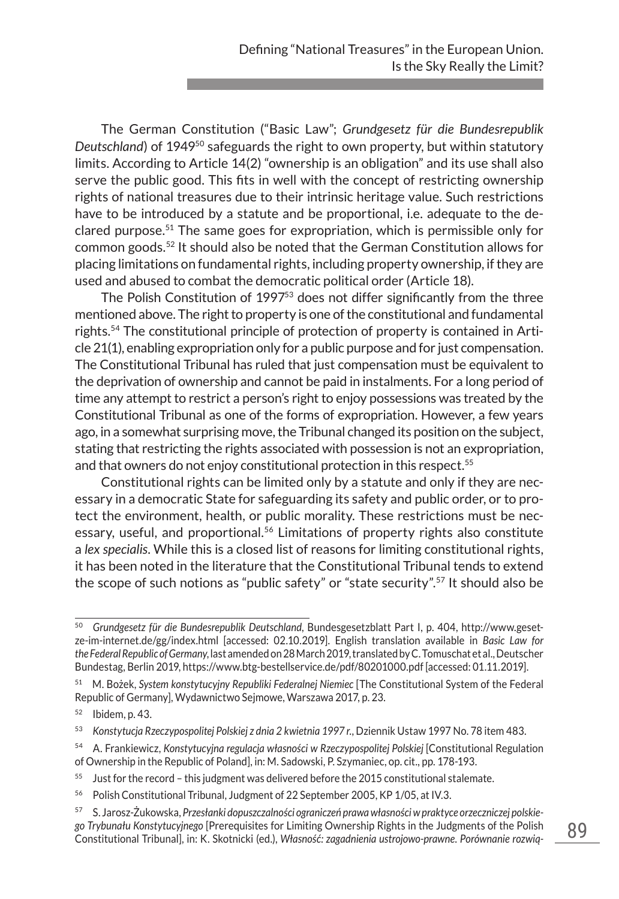The German Constitution ("Basic Law"; *Grundgesetz für die Bundesrepublik*  Deutschland) of 1949<sup>50</sup> safeguards the right to own property, but within statutory limits. According to Article 14(2) "ownership is an obligation" and its use shall also serve the public good. This fits in well with the concept of restricting ownership rights of national treasures due to their intrinsic heritage value. Such restrictions have to be introduced by a statute and be proportional, i.e. adequate to the declared purpose.51 The same goes for expropriation, which is permissible only for common goods.52 It should also be noted that the German Constitution allows for placing limitations on fundamental rights, including property ownership, if they are used and abused to combat the democratic political order (Article 18).

The Polish Constitution of 1997<sup>53</sup> does not differ significantly from the three mentioned above. The right to property is one of the constitutional and fundamental rights.54 The constitutional principle of protection of property is contained in Article 21(1), enabling expropriation only for a public purpose and for just compensation. The Constitutional Tribunal has ruled that just compensation must be equivalent to the deprivation of ownership and cannot be paid in instalments. For a long period of time any attempt to restrict a person's right to enjoy possessions was treated by the Constitutional Tribunal as one of the forms of expropriation. However, a few years ago, in a somewhat surprising move, the Tribunal changed its position on the subject, stating that restricting the rights associated with possession is not an expropriation, and that owners do not enjoy constitutional protection in this respect.<sup>55</sup>

Constitutional rights can be limited only by a statute and only if they are necessary in a democratic State for safeguarding its safety and public order, or to protect the environment, health, or public morality. These restrictions must be necessary, useful, and proportional.<sup>56</sup> Limitations of property rights also constitute a *lex specialis*. While this is a closed list of reasons for limiting constitutional rights, it has been noted in the literature that the Constitutional Tribunal tends to extend the scope of such notions as "public safety" or "state security".57 It should also be

- $55$  Just for the record this judgment was delivered before the 2015 constitutional stalemate.
- <sup>56</sup> Polish Constitutional Tribunal, Judgment of 22 September 2005, KP 1/05, at IV.3.

<sup>50</sup> *Grundgesetz für die Bundesrepublik Deutschland*, Bundesgesetzblatt Part I, p. 404, http://www.gesetze-im-internet.de/gg/index.html [accessed: 02.10.2019]. English translation available in *Basic Law for the Federal Republic of Germany*, last amended on 28 March 2019, translated by C. Tomuschat et al., Deutscher Bundestag, Berlin 2019, https://www.btg-bestellservice.de/pdf/80201000.pdf [accessed: 01.11.2019].

<sup>51</sup> M. Bożek, *System konstytucyjny Republiki Federalnej Niemiec* [The Constitutional System of the Federal Republic of Germany], Wydawnictwo Sejmowe, Warszawa 2017, p. 23.

<sup>52</sup> Ibidem, p. 43.

<sup>53</sup> *Konstytucja Rzeczypospolitej Polskiej z dnia 2 kwietnia 1997 r.*, Dziennik Ustaw 1997 No. 78 item 483.

<sup>54</sup> A. Frankiewicz, *Konstytucyjna regulacja własności w Rzeczypospolitej Polskiej* [Constitutional Regulation of Ownership in the Republic of Poland], in: M. Sadowski, P. Szymaniec, op. cit., pp. 178-193.

<sup>57</sup> S. Jarosz-Żukowska, *Przesłanki dopuszczalności ograniczeń prawa własności w praktyce orzeczniczej polskiego Trybunału Konstytucyjnego* [Prerequisites for Limiting Ownership Rights in the Judgments of the Polish Constitutional Tribunal], in: K. Skotnicki (ed.), *Własność: zagadnienia ustrojowo-prawne. Porównanie rozwią-*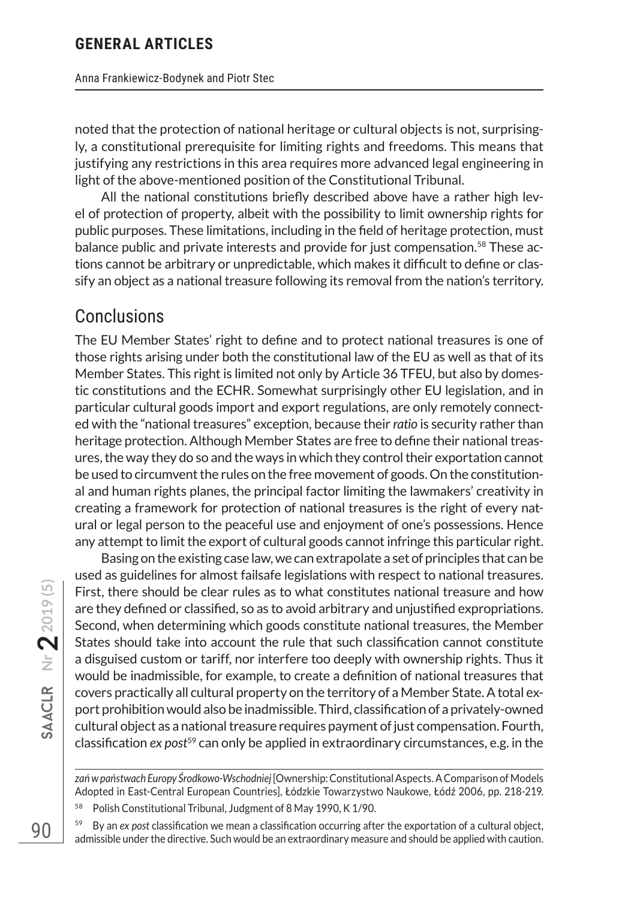noted that the protection of national heritage or cultural objects is not, surprisingly, a constitutional prerequisite for limiting rights and freedoms. This means that justifying any restrictions in this area requires more advanced legal engineering in light of the above-mentioned position of the Constitutional Tribunal.

All the national constitutions briefly described above have a rather high level of protection of property, albeit with the possibility to limit ownership rights for public purposes. These limitations, including in the field of heritage protection, must balance public and private interests and provide for just compensation.<sup>58</sup> These actions cannot be arbitrary or unpredictable, which makes it difficult to define or classify an object as a national treasure following its removal from the nation's territory.

## Conclusions

The EU Member States' right to define and to protect national treasures is one of those rights arising under both the constitutional law of the EU as well as that of its Member States. This right is limited not only by Article 36 TFEU, but also by domestic constitutions and the ECHR. Somewhat surprisingly other EU legislation, and in particular cultural goods import and export regulations, are only remotely connected with the "national treasures" exception, because their *ratio* is security rather than heritage protection. Although Member States are free to define their national treasures, the way they do so and the ways in which they control their exportation cannot be used to circumvent the rules on the free movement of goods. On the constitutional and human rights planes, the principal factor limiting the lawmakers' creativity in creating a framework for protection of national treasures is the right of every natural or legal person to the peaceful use and enjoyment of one's possessions. Hence any attempt to limit the export of cultural goods cannot infringe this particular right.

Basing on the existing case law, we can extrapolate a set of principles that can be used as guidelines for almost failsafe legislations with respect to national treasures. First, there should be clear rules as to what constitutes national treasure and how are they defined or classified, so as to avoid arbitrary and unjustified expropriations. Second, when determining which goods constitute national treasures, the Member States should take into account the rule that such classification cannot constitute a disguised custom or tariff, nor interfere too deeply with ownership rights. Thus it would be inadmissible, for example, to create a definition of national treasures that covers practically all cultural property on the territory of a Member State. A total export prohibition would also be inadmissible. Third, classification of a privately-owned cultural object as a national treasure requires payment of just compensation. Fourth, classification *ex post*59 can only be applied in extraordinary circumstances, e.g. in the

*zań w państwach Europy Środkowo-Wschodniej* [Ownership: Constitutional Aspects. A Comparison of Models Adopted in East-Central European Countries], Łódzkie Towarzystwo Naukowe, Łódź 2006, pp. 218-219.

<sup>58</sup> Polish Constitutional Tribunal, Judgment of 8 May 1990, K 1/90.

<sup>59</sup> By an *ex post* classification we mean a classification occurring after the exportation of a cultural object, admissible under the directive. Such would be an extraordinary measure and should be applied with caution.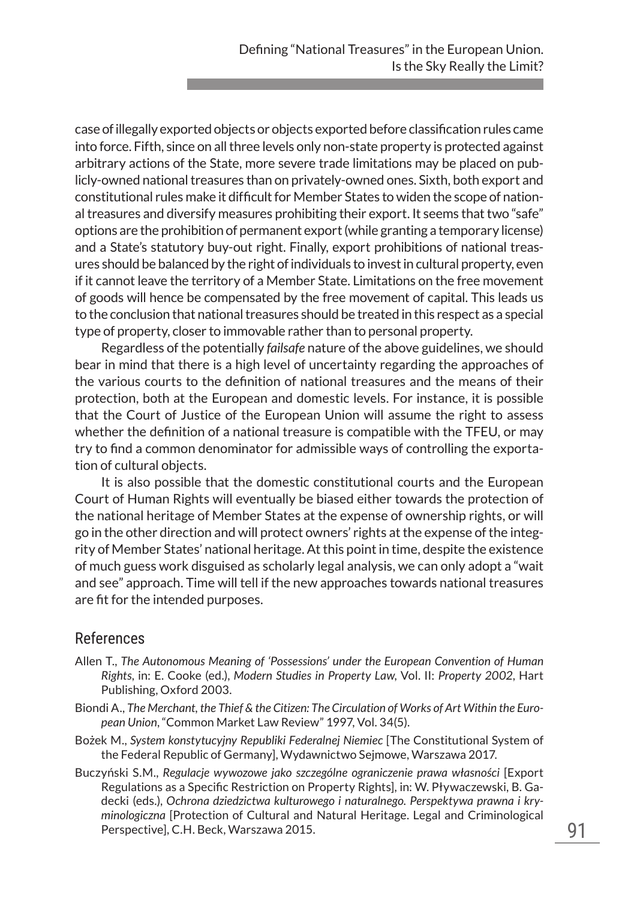case of illegally exported objects or objects exported before classification rules came into force. Fifth, since on all three levels only non-state property is protected against arbitrary actions of the State, more severe trade limitations may be placed on publicly-owned national treasures than on privately-owned ones. Sixth, both export and constitutional rules make it difficult for Member States to widen the scope of national treasures and diversify measures prohibiting their export. It seems that two "safe" options are the prohibition of permanent export (while granting a temporary license) and a State's statutory buy-out right. Finally, export prohibitions of national treasures should be balanced by the right of individuals to invest in cultural property, even if it cannot leave the territory of a Member State. Limitations on the free movement of goods will hence be compensated by the free movement of capital. This leads us to the conclusion that national treasures should be treated in this respect as a special type of property, closer to immovable rather than to personal property.

Regardless of the potentially *failsafe* nature of the above guidelines, we should bear in mind that there is a high level of uncertainty regarding the approaches of the various courts to the definition of national treasures and the means of their protection, both at the European and domestic levels. For instance, it is possible that the Court of Justice of the European Union will assume the right to assess whether the definition of a national treasure is compatible with the TFEU, or may try to find a common denominator for admissible ways of controlling the exportation of cultural objects.

It is also possible that the domestic constitutional courts and the European Court of Human Rights will eventually be biased either towards the protection of the national heritage of Member States at the expense of ownership rights, or will go in the other direction and will protect owners' rights at the expense of the integrity of Member States' national heritage. At this point in time, despite the existence of much guess work disguised as scholarly legal analysis, we can only adopt a "wait and see" approach. Time will tell if the new approaches towards national treasures are fit for the intended purposes.

#### References

- Allen T., *The Autonomous Meaning of 'Possessions' under the European Convention of Human Rights*, in: E. Cooke (ed.), *Modern Studies in Property Law*, Vol. II: *Property 2002*, Hart Publishing, Oxford 2003.
- Biondi A., *The Merchant, the Thief & the Citizen: The Circulation of Works of Art Within the European Union*, "Common Market Law Review" 1997, Vol. 34(5).
- Bożek M., *System konstytucyjny Republiki Federalnej Niemiec* [The Constitutional System of the Federal Republic of Germany], Wydawnictwo Sejmowe, Warszawa 2017.
- Buczyński S.M., *Regulacje wywozowe jako szczególne ograniczenie prawa własności* [Export Regulations as a Specific Restriction on Property Rights], in: W. Pływaczewski, B. Gadecki (eds.), *Ochrona dziedzictwa kulturowego i naturalnego. Perspektywa prawna i kryminologiczna* [Protection of Cultural and Natural Heritage. Legal and Criminological Perspective], C.H. Beck, Warszawa 2015.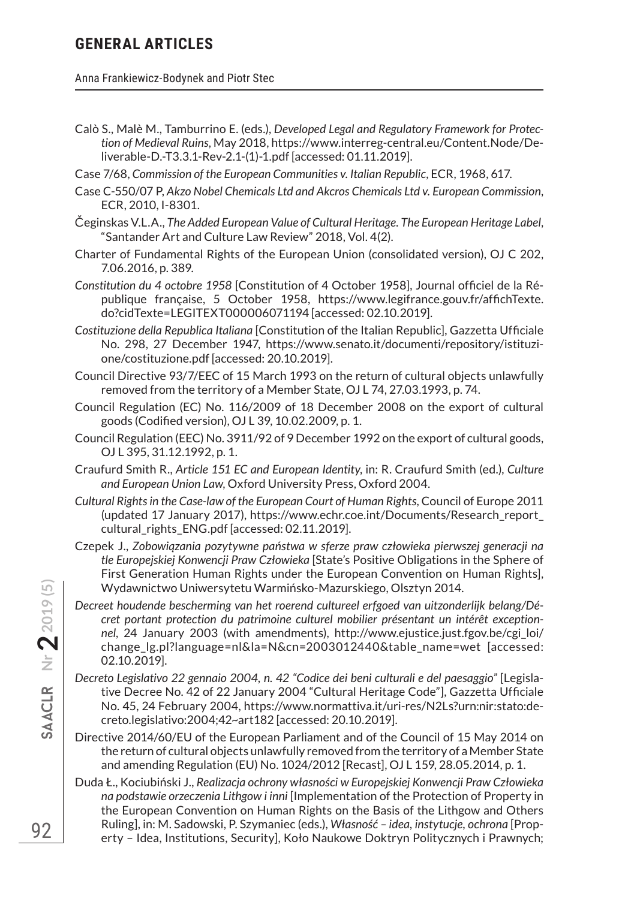Anna Frankiewicz-Bodynek and Piotr Stec

- Calò S., Malè M., Tamburrino E. (eds.), *Developed Legal and Regulatory Framework for Protection of Medieval Ruins*, May 2018, https://www.interreg-central.eu/Content.Node/Deliverable-D.-T3.3.1-Rev-2.1-(1)-1.pdf [accessed: 01.11.2019].
- Case 7/68, *Commission of the European Communities v. Italian Republic*, ECR, 1968, 617.
- Case C-550/07 P, *Akzo Nobel Chemicals Ltd and Akcros Chemicals Ltd v. European Commission*, ECR, 2010, I-8301.
- Čeginskas V.L.A., *The Added European Value of Cultural Heritage. The European Heritage Label*, "Santander Art and Culture Law Review" 2018, Vol. 4(2).
- Charter of Fundamental Rights of the European Union (consolidated version), OJ C 202, 7.06.2016, p. 389.
- *Constitution du 4 octobre 1958* [Constitution of 4 October 1958], Journal officiel de la République française, 5 October 1958, https://www.legifrance.gouv.fr/affichTexte. do?cidTexte=LEGITEXT000006071194 [accessed: 02.10.2019].
- *Costituzione della Republica Italiana* [Constitution of the Italian Republic], Gazzetta Ufficiale No. 298, 27 December 1947, https://www.senato.it/documenti/repository/istituzione/costituzione.pdf [accessed: 20.10.2019].
- Council Directive 93/7/EEC of 15 March 1993 on the return of cultural objects unlawfully removed from the territory of a Member State, OJ L 74, 27.03.1993, p. 74.
- Council Regulation (EC) No. 116/2009 of 18 December 2008 on the export of cultural goods (Codified version), OJ L 39, 10.02.2009, p. 1.
- Council Regulation (EEC) No. 3911/92 of 9 December 1992 on the export of cultural goods, OJ L 395, 31.12.1992, p. 1.
- Craufurd Smith R., *Article 151 EC and European Identity*, in: R. Craufurd Smith (ed.), *Culture and European Union Law*, Oxford University Press, Oxford 2004.
- *Cultural Rights in the Case-law of the European Court of Human Rights*, Council of Europe 2011 (updated 17 January 2017), https://www.echr.coe.int/Documents/Research\_report\_ cultural\_rights\_ENG.pdf [accessed: 02.11.2019].
- Czepek J., *Zobowiązania pozytywne państwa w sferze praw człowieka pierwszej generacji na tle Europejskiej Konwencji Praw Człowieka* [State's Positive Obligations in the Sphere of First Generation Human Rights under the European Convention on Human Rights], Wydawnictwo Uniwersytetu Warmińsko-Mazurskiego, Olsztyn 2014.
- *Decreet houdende bescherming van het roerend cultureel erfgoed van uitzonderlijk belang/Décret portant protection du patrimoine culturel mobilier présentant un intérêt exceptionnel*, 24 January 2003 (with amendments), http://www.ejustice.just.fgov.be/cgi\_loi/ change\_lg.pl?language=nl&la=N&cn=2003012440&table\_name=wet [accessed: 02.10.2019].
- *Decreto Legislativo 22 gennaio 2004, n. 42 "Codice dei beni culturali e del paesaggio"* [Legislative Decree No. 42 of 22 January 2004 "Cultural Heritage Code"], Gazzetta Ufficiale No. 45, 24 February 2004, https://www.normattiva.it/uri-res/N2Ls?urn:nir:stato:decreto.legislativo:2004;42~art182 [accessed: 20.10.2019].
- Directive 2014/60/EU of the European Parliament and of the Council of 15 May 2014 on the return of cultural objects unlawfully removed from the territory of a Member State and amending Regulation (EU) No. 1024/2012 [Recast], OJ L 159, 28.05.2014, p. 1.
- Duda Ł., Kociubiński J., *Realizacja ochrony własności w Europejskiej Konwencji Praw Człowieka na podstawie orzeczenia Lithgow i inni* [Implementation of the Protection of Property in the European Convention on Human Rights on the Basis of the Lithgow and Others Ruling], in: M. Sadowski, P. Szymaniec (eds.), *Własność – idea, instytucje, ochrona* [Property – Idea, Institutions, Security], Koło Naukowe Doktryn Politycznych i Prawnych;

92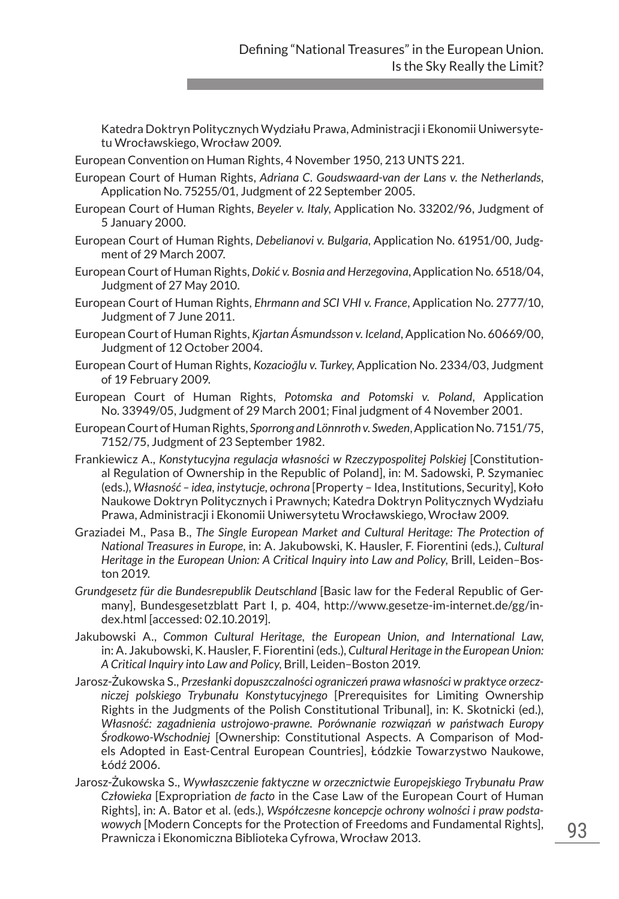Katedra Doktryn Politycznych Wydziału Prawa, Administracji i Ekonomii Uniwersytetu Wrocławskiego, Wrocław 2009.

- European Convention on Human Rights, 4 November 1950, 213 UNTS 221.
- European Court of Human Rights, *Adriana C. Goudswaard-van der Lans v. the Netherlands*, Application No. 75255/01, Judgment of 22 September 2005.
- European Court of Human Rights, *Beyeler v. Italy*, Application No. 33202/96, Judgment of 5 January 2000.
- European Court of Human Rights, *Debelianovi v. Bulgaria*, Application No. 61951/00, Judgment of 29 March 2007.
- European Court of Human Rights, *Dokić v. Bosnia and Herzegovina*, Application No. 6518/04, Judgment of 27 May 2010.
- European Court of Human Rights, *Ehrmann and SCI VHI v. France*, Application No. 2777/10, Judgment of 7 June 2011.
- European Court of Human Rights, *Kjartan Ásmundsson v. Iceland*, Application No. 60669/00, Judgment of 12 October 2004.
- European Court of Human Rights, *Kozacioğlu v. Turkey*, Application No. 2334/03, Judgment of 19 February 2009.
- European Court of Human Rights, *Potomska and Potomski v. Poland*, Application No. 33949/05, Judgment of 29 March 2001; Final judgment of 4 November 2001.
- European Court of Human Rights, *Sporrong and Lönnroth v. Sweden*, Application No. 7151/75, 7152/75, Judgment of 23 September 1982.
- Frankiewicz A., *Konstytucyjna regulacja własności w Rzeczypospolitej Polskiej* [Constitutional Regulation of Ownership in the Republic of Poland], in: M. Sadowski, P. Szymaniec (eds.), *Własność – idea, instytucje, ochrona* [Property – Idea, Institutions, Security], Koło Naukowe Doktryn Politycznych i Prawnych; Katedra Doktryn Politycznych Wydziału Prawa, Administracji i Ekonomii Uniwersytetu Wrocławskiego, Wrocław 2009.
- Graziadei M., Pasa B., *The Single European Market and Cultural Heritage: The Protection of National Treasures in Europe*, in: A. Jakubowski, K. Hausler, F. Fiorentini (eds.), *Cultural Heritage in the European Union: A Critical Inquiry into Law and Policy*, Brill, Leiden–Boston 2019.
- *Grundgesetz für die Bundesrepublik Deutschland* [Basic law for the Federal Republic of Germany], Bundesgesetzblatt Part I, p. 404, http://www.gesetze-im-internet.de/gg/index.html [accessed: 02.10.2019].
- Jakubowski A., *Common Cultural Heritage, the European Union, and International Law*, in: A. Jakubowski, K. Hausler, F. Fiorentini (eds.), *Cultural Heritage in the European Union: A Critical Inquiry into Law and Policy*, Brill, Leiden–Boston 2019.
- Jarosz-Żukowska S., *Przesłanki dopuszczalności ograniczeń prawa własności w praktyce orzeczniczej polskiego Trybunału Konstytucyjnego* [Prerequisites for Limiting Ownership Rights in the Judgments of the Polish Constitutional Tribunal], in: K. Skotnicki (ed.), *Własność: zagadnienia ustrojowo-prawne. Porównanie rozwiązań w państwach Europy Środkowo-Wschodniej* [Ownership: Constitutional Aspects. A Comparison of Models Adopted in East-Central European Countries], Łódzkie Towarzystwo Naukowe, Łódź 2006.
- Jarosz-Żukowska S., *Wywłaszczenie faktyczne w orzecznictwie Europejskiego Trybunału Praw Człowieka* [Expropriation *de facto* in the Case Law of the European Court of Human Rights], in: A. Bator et al. (eds.), *Współczesne koncepcje ochrony wolności i praw podstawowych* [Modern Concepts for the Protection of Freedoms and Fundamental Rights], Prawnicza i Ekonomiczna Biblioteka Cyfrowa, Wrocław 2013.